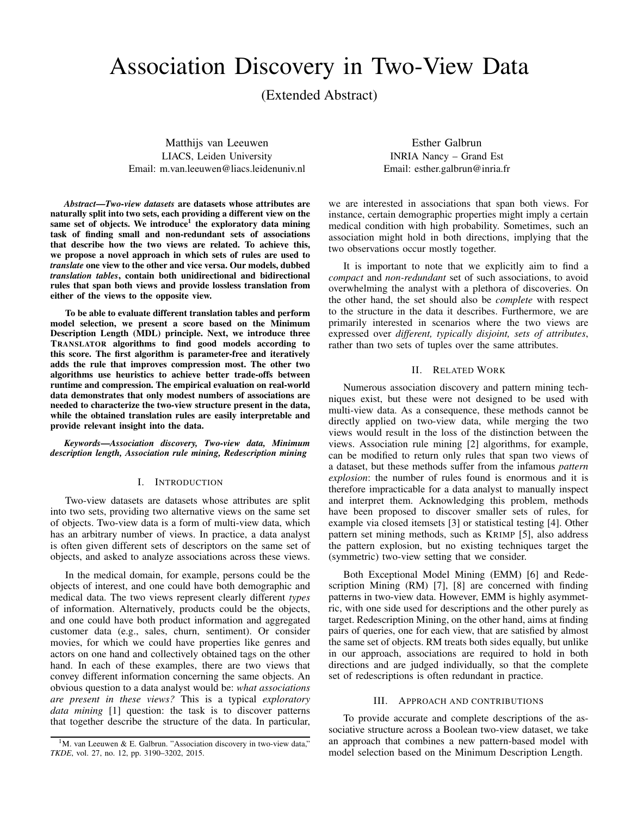# Association Discovery in Two-View Data

(Extended Abstract)

Matthijs van Leeuwen LIACS, Leiden University Email: m.van.leeuwen@liacs.leidenuniv.nl

*Abstract*—*Two-view datasets* are datasets whose attributes are naturally split into two sets, each providing a different view on the same set of objects. We introduce<sup>1</sup> the exploratory data mining task of finding small and non-redundant sets of associations that describe how the two views are related. To achieve this, we propose a novel approach in which sets of rules are used to *translate* one view to the other and vice versa. Our models, dubbed *translation tables*, contain both unidirectional and bidirectional rules that span both views and provide lossless translation from either of the views to the opposite view.

To be able to evaluate different translation tables and perform model selection, we present a score based on the Minimum Description Length (MDL) principle. Next, we introduce three TRANSLATOR algorithms to find good models according to this score. The first algorithm is parameter-free and iteratively adds the rule that improves compression most. The other two algorithms use heuristics to achieve better trade-offs between runtime and compression. The empirical evaluation on real-world data demonstrates that only modest numbers of associations are needed to characterize the two-view structure present in the data, while the obtained translation rules are easily interpretable and provide relevant insight into the data.

*Keywords*—*Association discovery, Two-view data, Minimum description length, Association rule mining, Redescription mining*

## I. INTRODUCTION

Two-view datasets are datasets whose attributes are split into two sets, providing two alternative views on the same set of objects. Two-view data is a form of multi-view data, which has an arbitrary number of views. In practice, a data analyst is often given different sets of descriptors on the same set of objects, and asked to analyze associations across these views.

In the medical domain, for example, persons could be the objects of interest, and one could have both demographic and medical data. The two views represent clearly different *types* of information. Alternatively, products could be the objects, and one could have both product information and aggregated customer data (e.g., sales, churn, sentiment). Or consider movies, for which we could have properties like genres and actors on one hand and collectively obtained tags on the other hand. In each of these examples, there are two views that convey different information concerning the same objects. An obvious question to a data analyst would be: *what associations are present in these views?* This is a typical *exploratory data mining* [1] question: the task is to discover patterns that together describe the structure of the data. In particular,

Esther Galbrun INRIA Nancy – Grand Est Email: esther.galbrun@inria.fr

we are interested in associations that span both views. For instance, certain demographic properties might imply a certain medical condition with high probability. Sometimes, such an association might hold in both directions, implying that the two observations occur mostly together.

It is important to note that we explicitly aim to find a *compact* and *non-redundant* set of such associations, to avoid overwhelming the analyst with a plethora of discoveries. On the other hand, the set should also be *complete* with respect to the structure in the data it describes. Furthermore, we are primarily interested in scenarios where the two views are expressed over *different, typically disjoint, sets of attributes*, rather than two sets of tuples over the same attributes.

## II. RELATED WORK

Numerous association discovery and pattern mining techniques exist, but these were not designed to be used with multi-view data. As a consequence, these methods cannot be directly applied on two-view data, while merging the two views would result in the loss of the distinction between the views. Association rule mining [2] algorithms, for example, can be modified to return only rules that span two views of a dataset, but these methods suffer from the infamous *pattern explosion*: the number of rules found is enormous and it is therefore impracticable for a data analyst to manually inspect and interpret them. Acknowledging this problem, methods have been proposed to discover smaller sets of rules, for example via closed itemsets [3] or statistical testing [4]. Other pattern set mining methods, such as KRIMP [5], also address the pattern explosion, but no existing techniques target the (symmetric) two-view setting that we consider.

Both Exceptional Model Mining (EMM) [6] and Redescription Mining (RM) [7], [8] are concerned with finding patterns in two-view data. However, EMM is highly asymmetric, with one side used for descriptions and the other purely as target. Redescription Mining, on the other hand, aims at finding pairs of queries, one for each view, that are satisfied by almost the same set of objects. RM treats both sides equally, but unlike in our approach, associations are required to hold in both directions and are judged individually, so that the complete set of redescriptions is often redundant in practice.

## III. APPROACH AND CONTRIBUTIONS

To provide accurate and complete descriptions of the associative structure across a Boolean two-view dataset, we take an approach that combines a new pattern-based model with model selection based on the Minimum Description Length.

 $1_M$ . van Leeuwen & E. Galbrun. "Association discovery in two-view data," *TKDE*, vol. 27, no. 12, pp. 3190–3202, 2015.